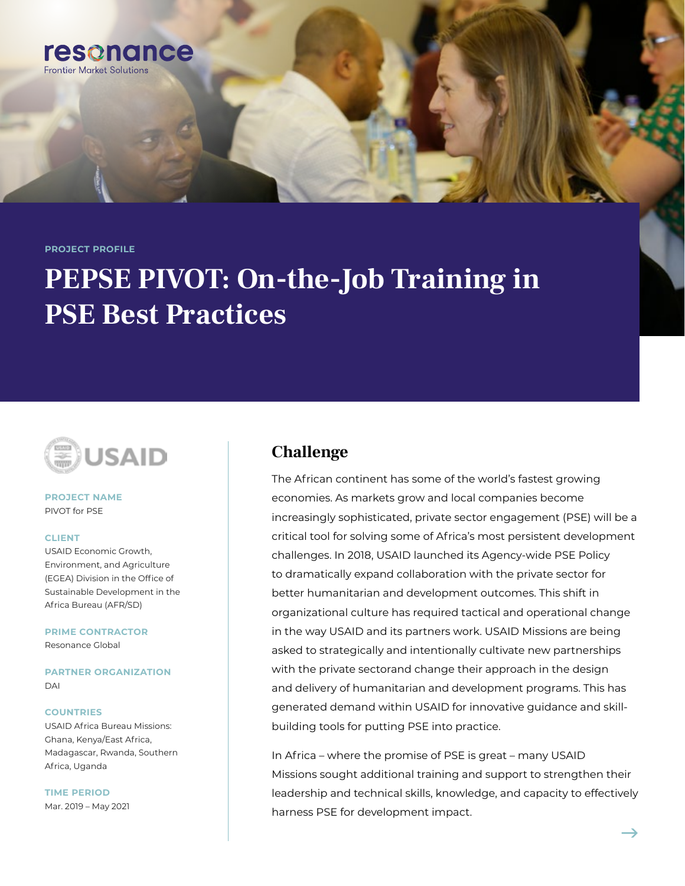**PROJECT PROFILE**

resonance

**Frontier Market Solutions** 

# **PEPSE PIVOT: On-the-Job Training in PSE Best Practices**



#### **PROJECT NAME** PIVOT for PSE

#### **CLIENT**

USAID Economic Growth, Environment, and Agriculture (EGEA) Division in the Office of Sustainable Development in the Africa Bureau (AFR/SD)

**PRIME CONTRACTOR** Resonance Global

**PARTNER ORGANIZATION** DAI

#### **COUNTRIES**

USAID Africa Bureau Missions: Ghana, Kenya/East Africa, Madagascar, Rwanda, Southern Africa, Uganda

**TIME PERIOD** Mar. 2019 – May 2021

### **Challenge**

The African continent has some of the world's fastest growing economies. As markets grow and local companies become increasingly sophisticated, private sector engagement (PSE) will be a critical tool for solving some of Africa's most persistent development challenges. In 2018, USAID launched its Agency-wide PSE Policy to dramatically expand collaboration with the private sector for better humanitarian and development outcomes. This shift in organizational culture has required tactical and operational change in the way USAID and its partners work. USAID Missions are being asked to strategically and intentionally cultivate new partnerships with the private sectorand change their approach in the design and delivery of humanitarian and development programs. This has generated demand within USAID for innovative guidance and skillbuilding tools for putting PSE into practice.

In Africa – where the promise of PSE is great – many USAID Missions sought additional training and support to strengthen their leadership and technical skills, knowledge, and capacity to effectively harness PSE for development impact.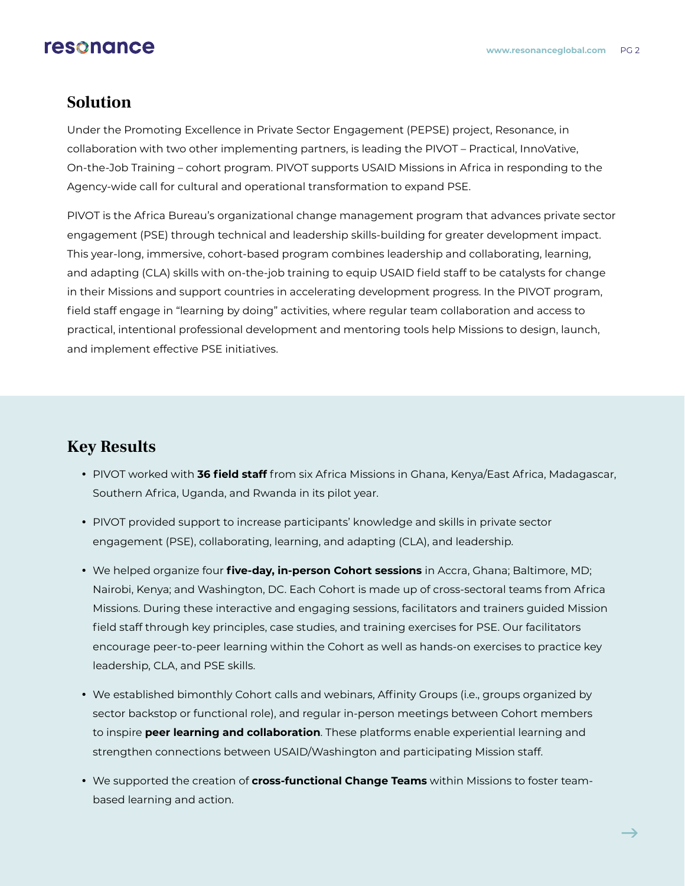## resonance

#### **Solution**

Under the Promoting Excellence in Private Sector Engagement (PEPSE) project, Resonance, in collaboration with two other implementing partners, is leading the PIVOT – Practical, InnoVative, On-the-Job Training – cohort program. PIVOT supports USAID Missions in Africa in responding to the Agency-wide call for cultural and operational transformation to expand PSE.

PIVOT is the Africa Bureau's organizational change management program that advances private sector engagement (PSE) through technical and leadership skills-building for greater development impact. This year-long, immersive, cohort-based program combines leadership and collaborating, learning, and adapting (CLA) skills with on-the-job training to equip USAID field staff to be catalysts for change in their Missions and support countries in accelerating development progress. In the PIVOT program, field staff engage in "learning by doing" activities, where regular team collaboration and access to practical, intentional professional development and mentoring tools help Missions to design, launch, and implement effective PSE initiatives.

## **Key Results**

- PIVOT worked with 36 field staff from six Africa Missions in Ghana, Kenya/East Africa, Madagascar, Southern Africa, Uganda, and Rwanda in its pilot year.
- PIVOT provided support to increase participants' knowledge and skills in private sector engagement (PSE), collaborating, learning, and adapting (CLA), and leadership.
- y We helped organize four **five-day, in-person Cohort sessions** in Accra, Ghana; Baltimore, MD; Nairobi, Kenya; and Washington, DC. Each Cohort is made up of cross-sectoral teams from Africa Missions. During these interactive and engaging sessions, facilitators and trainers guided Mission field staff through key principles, case studies, and training exercises for PSE. Our facilitators encourage peer-to-peer learning within the Cohort as well as hands-on exercises to practice key leadership, CLA, and PSE skills.
- We established bimonthly Cohort calls and webinars, Affinity Groups (i.e., groups organized by sector backstop or functional role), and regular in-person meetings between Cohort members to inspire **peer learning and collaboration**. These platforms enable experiential learning and strengthen connections between USAID/Washington and participating Mission staff.
- **We supported the creation of cross-functional Change Teams** within Missions to foster teambased learning and action.